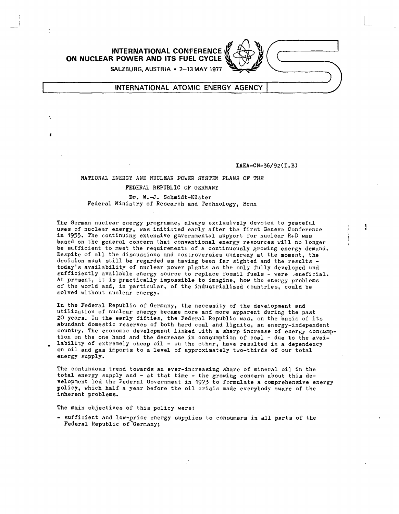

## INTERNATIONAL ATOMIC ENERGY AGENCY

IAEA-CN-36/92(I.B)

ł

## NATIONAL ENERGY AND NUCLEAR POWER SYSTEM PLANS OF THE FEDERAL REPUBLIC OF GERMANY

## Dr. W.-J. Schmidt-Küster Federal Ministry of Research and Technology, Bonn

The German nuclear energy programme, always exclusively devoted to peaceful uses of nuclear energy, was initiated early after the first Geneva Conference in 1955. The continuing extensive governmental support for nuclear R+D was based on the general concern that conventional energy resources will no longer be sufficient to meet the requirements of a continuously growing energy demand. Despite of all the discussions and controversies underway at the moment, the decision must still be regarded as having been far sighted and the results today's availability of nuclear power plants as the only fully developed und sufficiently available energy source to replace fossil fuels - were ,eneficial. At present, it is practically impossible to imagine, how the energy problems of the world and, in particular, of the industrialized countries, could be solved without nuclear energy.

In the Federal Republic of Germany, the necessity of the development and utilization of nuclear energy became more and more apparent during the past 20 years. In the early fifties, the Federal Republic was, on the basis of its abundant domestic reserves of both hard coal and lignite, an energy-independent country. The economic development linked with a sharp increase of energy consumption on the one hand and the decrease in consumption of coal - due to the availability of extremely cheap oil - on the other, have resulted in a dependency on oil and gas imports to a level of approximately two-thirds of our total energy supply.

The continuous trend towards an ever-increasing share of mineral oil in the total energy supply and - at that time - the growing concern about this development led the Federal Government in 1973 to formulate a comprehensive energy policy, which half a year before the oil crisis made everybody aware of the inherent problems.

The main objectives of this policy were:

- sufficient and low-price energy supplies to consumers in all parts of the Federal Republic of Germany;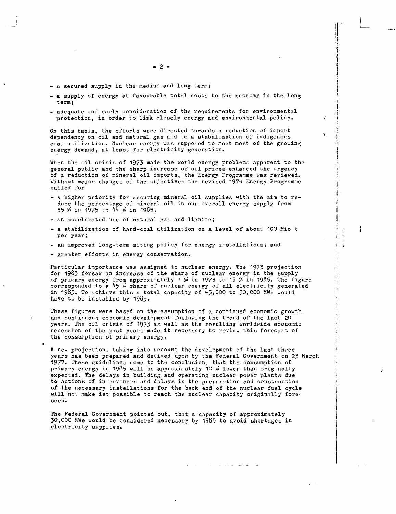- a secured supply in the medium and long term;
- a supply of energy at favourable total costs to the economy in the long term;
- adequate and early consideration of the requirements for environmental protection, in order to link closely energy and environmental policy.

On this basis, the efforts were directed towards a reduction of import dependency on oil and natural gas and to a stabalization of indigenous coal utilization. Nuclear energy was supposed to meet most of the growing energy demand, at least for electricity generation.

When the oil crisis of 1973 made the world energy problems apparent to the general public and the sharp increase of oil prices enhanced the urgency of a reduction of mineral oil imports, the Energy Programme was reviewed. Without major changes of the objectives the revised 1974 Energy Programme called for

- a higher priority for securing mineral oil supplies with the aim to reduce the percentage of mineral oil in our overall energy supply from 55 % in 1975 to 44 % in 1985;
- £.n accelerated use of natural gas and lignite;
- a stabilization of hard-coal utilization on a level of about 100 Mio t per year;

ĵ

- an improved long-term siting policy for energy installations; and
- greater efforts in energy conservation.

Particular importance was assigned to nuclear energy. The 1973 projection for 1985 forsaw an increase cf the shara of nuclear energy in the supply of primary energy from approximately 1 % in 1973 to 15 % in 1985. The figure corresponded to a  $45$  % share of nuclear energy of all electricity generated in 1985. To achieve this a total capacity of  $45,000$  to 50,000 MWe would have to be installed by 1985.

These figures were based on the assumption of a continued economic growth and continuous economic development following the trend of the last 20 years. The oil crisis of 1973 as well as the resulting worldwide economic recession of the past years made it necessary to review this forecast of the consumption of primary energy.

A new projection, taking into account the development of the last three years has been prepared and decided upon by the Federal Government on 23 March 1977- These guidelines come to the conclusion, that the consumption of primary energy in 1985 will be approximately 10 % lower than originally expected. The delays in building and operating nuclear power plants due to actions of interveners and delays in the preparation and construction of the necessary installations for the back end of the nuclear fuel cycle will not make ist possible to reach the nuclear capacity originally foreseen.

The Federal Government pointed out, that a capacity of approximately 30,000 MWe would be considered necessary by 1985 to avoid shortages in electricity supplies.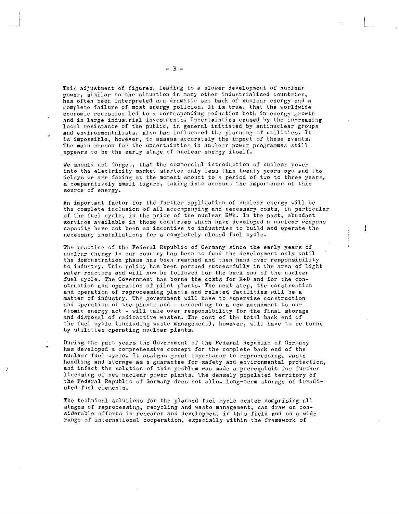This adjustment of figures, leading to a slower development of nuclear power, similar to the situation in many other industrialised countries, has often been interpreted as a dramatic set back of nuclear energy and a complete failure of most energy policies. It is true, that the worldwide economic recession led to a corresponding reduction both in energy growth and in large industrial investments. Uncertainties caused by the increasing local resistance of the public, in general initiated by antinuclear groups and environmentalists, also has influenced the planning of utilities. It is impossible, however, to assess accurately the impact of these events. The main reason for the uncertainties in nuclear power programmes still appears to be the early stage of nuclear energy itself.

We should not forget, that the commercial introduction of nuclear power into the electricity market started only less than twenty years ego and the delays we are facing at the moment amount to a period of two to three years, a comparatively small figure, taking into account the importance of this source of energy.

An important factor.for the further application of nuclear energy will be the complete inclusion of all accompanying and necessary costs, in particular of the fuel cycle, in the price of the nuclear KWh. In the past, abundant services available in those countries which have developed a nuclear weapons capacity have not been an incentive to industries to build and operate the necessary installations for a completely closed fuel cycle.

ł

The practice of the Federal Republic of Germany since the early years of nuclear energy in our country has been to fund the development only until the demonstration phase has been reached and then hand over responsibility to industry. This policy has been persued successfully in the area of light water reactors and will now be followed for the back end of the nuclear fuel cycle. The Government has borne the costs for R+D and for the construction and operation of pilot plants. The next step, the construction and operation of reprocessing plants and related facilities will be a matter cf industry. The government will have to supervise construction and operation of the plants and - according to a new amendment to our Atomic energy act - will take over responsibility for the final storage and disposal of radioactive wastes. The cost of the total back end of the fuel cycle (including waste management), however, wil] have to be borne by utilities operating nuclear plants.

During the past years the Government of the Federal Republic of Germany has developed a comprehensive concept for the complete back end of the nuclear fuel cycle. It assigns great importance to reprocessing, waste handling and storage as a guarantee for safety and environmental protection, and infact the solution of this problem was made a prerequisit for further licensing of new nuclear power plants. The densely populated territory of the Federal Republic of Germany does not allow long-term storage of irradiated fuel elements.

The technical solutions for the planned fuel cycle center comprising all stages of reprocessing, recycling and waste management, can draw on considerable efforts in research and development in this field and on a wide range of international cooperation, especially within the framework of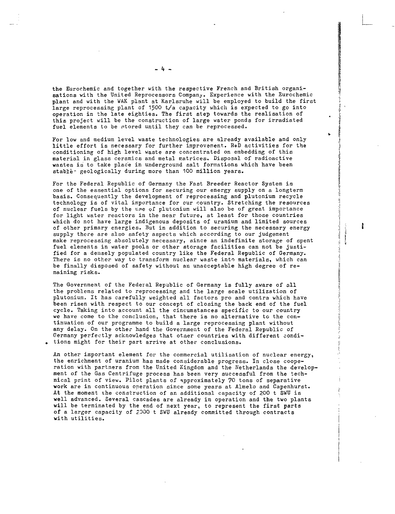the Eurochemic and together with the respective French and British organisations with the United Reprocessors Company. Experience with the Eurochemic plant and with the WAK plant at Karlsruhe will be employed to build the first large reprocessing plant of 1500 t/a capacity which is expected to go into operation in the late eighties. The first step towards the realisation of this project will be the construction of large water ponds for irradiated fuel elements to be stored until they can be reprocessed.

For low and medium level waste technologies are already available and only little effort is necessary for further improvement. R+D activities for the conditioning of high level waste are concentrated on embedding of this material in glass ceramics and metal matrices. Disposal of radioactive wastes is to take place in underground salt formations which have been stable~ geologically during more than 100 million years.

For the Federal Republic of Germany the Fast Breeder Reactor System is one of the essential options for securing our energy supply on a longterm basis. Consequently the development of reprocessing and plutonium recycle technology is of vital importance for our country. Stretching the resources of nuclear fuels by the use of plutonium will also be of great importance for light water reactors in the near future, at least for those countries which do not have large indigenous deposits of uranium and limited sources of other primary energies. But in addition to securing the necessary energy supply there are also safety aspects which according to our judgement make reprocessing absolutely necessary, since an indefinite storage of spent fuel elements in water pools or other storage facilities can not be justified for a densely populated country like the Federal Republic of Germany. There is no other way to transform nuclear waste into materials, which can be finally disposed of safety without an unacceptable high degree of remaining risks.

ł

The Government of the Federal Republic of Germany is fully aware of all the problems related to reprocessing and the large scale utilization of plutonium. It has carefully weighted all factors pro and contra which have been risen with respect to our concept of closing the back end of the fuel cycle. Taking into account all the cincumstances specific to our country we have come to the conclusion, that there is no alternative to the continuation of our programme to build a large reprocessing plant without any delay. On the other hand the Government of the Federal Republic of Germany perfectly acknowledges that otner countries with different conditions might for their part arrive at other conclusions.

An other important element for the commercial utilisation of nuclear energy, the enrichment of uranium has made considerable progress. In close cooperation with partners from the United Kingdom and the Netherlands the development of the Gas Centrifuge process has been very successful from the technical print of view. Pilot plants of approximately 70 tons of separative work are in continuous operation since some years at Almelo and Capenhurst. At the moment the construction of an additional capacity of 200 t SWU is well advanced. Several cascades are already in operation and the two plants will be terminated by the end of next year, to represent the first parts of a larger capacity of 2000 t SWU already committed through contracts with utilities.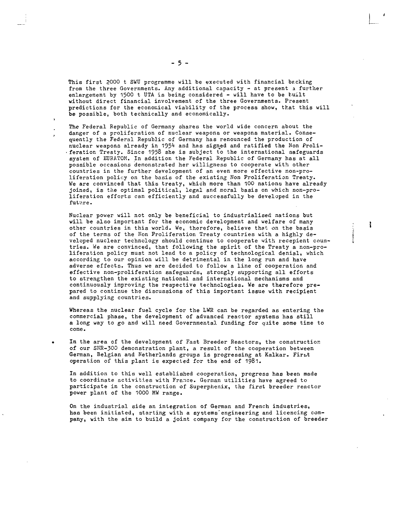This first 2000 t SWU programme will be executed with financial becking from the three Governments. Any additional capacity - at present a further enlargement by 1500 t UTA is being considered - will have to be tuilt without direct financial involvement of the three Governments. Present predictions for the economical viability of the process show, that this will be possible, both technically and economically.

The Federal Republic of Germany shares the world wide concern about the danger of a proliferation of nuclear weapons or weapons material. Consequently the Federal Republic of Germany has renounced the production of nuclear weapons already in 1954 and has signed and ratified the Non Proli-• feration Treaty. Since 1958 she is subject to the international safeguards system of EURATOM. In addition the Federal Republic of Germany has at all possible occasions demonstrated her willigness to cooperate with other countries in the further development of an even more effective non-proliferation policy on the basis of the existing Non Proliferation Treaty. We are convinced that this treaty, which more than 100 nations have already joined, is the optimal political, legal and moral basis on which non-proliferation efforts can efficiently and successfully be developed in the future.

Nuclear power will not only be beneficial to industrialised nations but will be also important for the economic development and welfare of many other countries in this world. We, therefore, believe that on the basis of the terms of the Non Proliferation Treaty countries with a highly developed nuclear technology should continue to cooperate with recepient countries. We are convinced, that following the spirit of the Treaty a non-proliferation policy must not lead to a policy of technological denial, which according to our opinion will be detrimental in the long run and have adverse effects. Thus we are decided to follow a line of cooperation and effective non-proliferation safeguards, strongly supporting all efforts to strengthen the existing national and international mechanisms and continuously improving the respective technologies. We are therefore prepared to continue the discussions of this important issue with recipient and supplying countries.

ł

Whereas the nuclear fuel cycle for the LWR can be regarded as entering the commercial phase, the development of advanced reactor systems has still a long way to go and will need Governmental funding for quite some time to come.

In the area of the development of Fast Breeder Reactors, the construction of our SNR-300 demonstration plant, a result of the cooperation between German, Belgian and Netherlands groups is progressing at Kalkar. First operation of this plant is expected for the end of 1981.

In addition to this well established cooperation, progress has been made to coordinate activities with France. German utilities have agreed to participate in the construction of Superphenix, the first breeder reactor power plant of the 1000 MW range.

On the industrial side an integration of German and French industries, has been initiated, starting with a systems'engineering and licencing company, with the aim to build a joint company for the construction of breeder